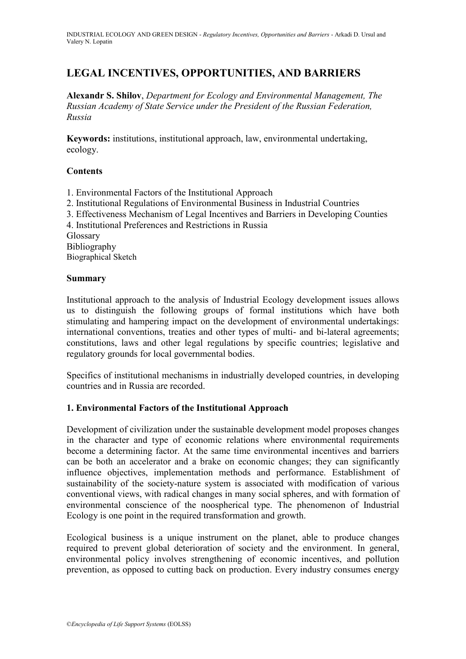# **LEGAL INCENTIVES, OPPORTUNITIES, AND BARRIERS**

**Alexandr S. Shilov**, *Department for Ecology and Environmental Management, The Russian Academy of State Service under the President of the Russian Federation, Russia*

**Keywords:** institutions, institutional approach, law, environmental undertaking, ecology.

## **Contents**

- 1. Environmental Factors of the Institutional Approach
- 2. Institutional Regulations of Environmental Business in Industrial Countries
- 3. Effectiveness Mechanism of Legal Incentives and Barriers in Developing Counties
- 4. Institutional Preferences and Restrictions in Russia

Glossary

Bibliography Biographical Sketch

## **Summary**

Institutional approach to the analysis of Industrial Ecology development issues allows us to distinguish the following groups of formal institutions which have both stimulating and hampering impact on the development of environmental undertakings: international conventions, treaties and other types of multi- and bi-lateral agreements; constitutions, laws and other legal regulations by specific countries; legislative and regulatory grounds for local governmental bodies.

Specifics of institutional mechanisms in industrially developed countries, in developing countries and in Russia are recorded.

# **1. Environmental Factors of the Institutional Approach**

Development of civilization under the sustainable development model proposes changes in the character and type of economic relations where environmental requirements become a determining factor. At the same time environmental incentives and barriers can be both an accelerator and a brake on economic changes; they can significantly influence objectives, implementation methods and performance. Establishment of sustainability of the society-nature system is associated with modification of various conventional views, with radical changes in many social spheres, and with formation of environmental conscience of the noospherical type. The phenomenon of Industrial Ecology is one point in the required transformation and growth.

Ecological business is a unique instrument on the planet, able to produce changes required to prevent global deterioration of society and the environment. In general, environmental policy involves strengthening of economic incentives, and pollution prevention, as opposed to cutting back on production. Every industry consumes energy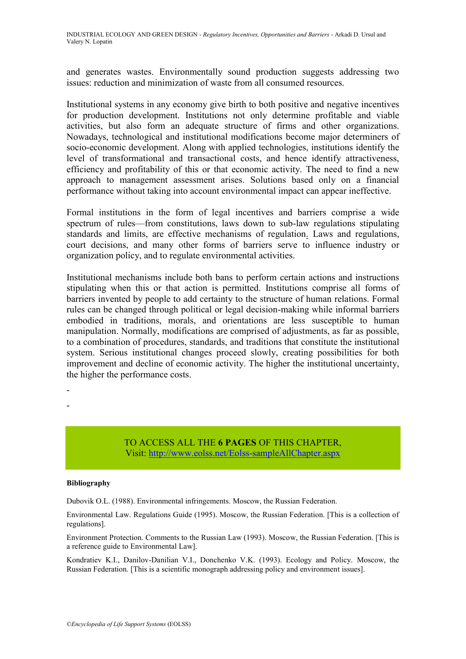and generates wastes. Environmentally sound production suggests addressing two issues: reduction and minimization of waste from all consumed resources.

Institutional systems in any economy give birth to both positive and negative incentives for production development. Institutions not only determine profitable and viable activities, but also form an adequate structure of firms and other organizations. Nowadays, technological and institutional modifications become major determiners of socio-economic development. Along with applied technologies, institutions identify the level of transformational and transactional costs, and hence identify attractiveness, efficiency and profitability of this or that economic activity. The need to find a new approach to management assessment arises. Solutions based only on a financial performance without taking into account environmental impact can appear ineffective.

Formal institutions in the form of legal incentives and barriers comprise a wide spectrum of rules—from constitutions, laws down to sub-law regulations stipulating standards and limits, are effective mechanisms of regulation. Laws and regulations, court decisions, and many other forms of barriers serve to influence industry or organization policy, and to regulate environmental activities.

Institutional mechanisms include both bans to perform certain actions and instructions stipulating when this or that action is permitted. Institutions comprise all forms of barriers invented by people to add certainty to the structure of human relations. Formal rules can be changed through political or legal decision-making while informal barriers embodied in traditions, morals, and orientations are less susceptible to human manipulation. Normally, modifications are comprised of adjustments, as far as possible, to a combination of procedures, standards, and traditions that constitute the institutional system. Serious institutional changes proceed slowly, creating possibilities for both improvement and decline of economic activity. The higher the institutional uncertainty, the higher the performance costs.

> TO ACCESS ALL THE **6 PAGES** OF THIS CHAPTER, Vis[it:](https://www.eolss.net/ebooklib/sc_cart.aspx?File=E1-27-05-05) <http://www.eolss.net/Eolss-sampleAllChapter.aspx>

### **Bibliography**

- -

Dubovik O.L. (1988). Environmental infringements. Moscow, the Russian Federation.

Environmental Law. Regulations Guide (1995). Moscow, the Russian Federation. [This is a collection of regulations].

Environment Protection. Comments to the Russian Law (1993). Moscow, the Russian Federation. [This is a reference guide to Environmental Law].

Kondratiev K.I., Danilov-Danilian V.I., Donchenko V.K. (1993). Ecology and Policy. Moscow, the Russian Federation. [This is a scientific monograph addressing policy and environment issues].